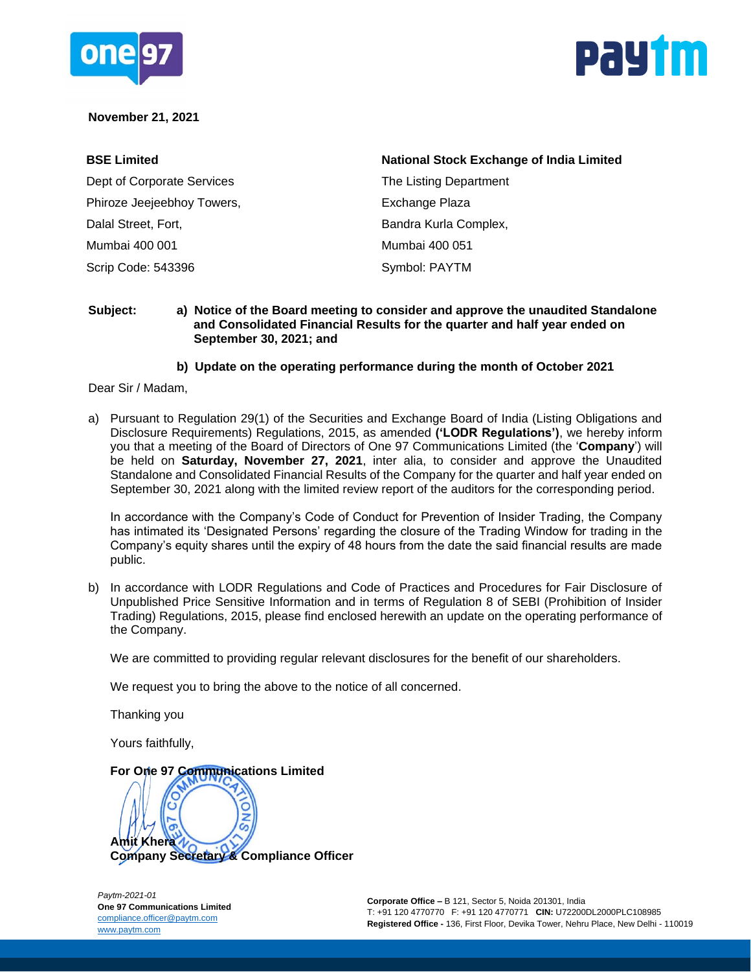



### **November 21, 2021**

| <b>BSE Limited</b>         | <b>National Stock Exchange of India Limited</b> |  |  |  |  |  |  |
|----------------------------|-------------------------------------------------|--|--|--|--|--|--|
| Dept of Corporate Services | The Listing Department                          |  |  |  |  |  |  |
| Phiroze Jeejeebhoy Towers, | Exchange Plaza                                  |  |  |  |  |  |  |
| Dalal Street, Fort,        | Bandra Kurla Complex,                           |  |  |  |  |  |  |
| Mumbai 400 001             | Mumbai 400 051                                  |  |  |  |  |  |  |
| Scrip Code: 543396         | Symbol: PAYTM                                   |  |  |  |  |  |  |

#### **Subject: a) Notice of the Board meeting to consider and approve the unaudited Standalone and Consolidated Financial Results for the quarter and half year ended on September 30, 2021; and**

### **b) Update on the operating performance during the month of October 2021**

Dear Sir / Madam,

a) Pursuant to Regulation 29(1) of the Securities and Exchange Board of India (Listing Obligations and Disclosure Requirements) Regulations, 2015, as amended **('LODR Regulations')**, we hereby inform you that a meeting of the Board of Directors of One 97 Communications Limited (the '**Company**') will be held on **Saturday, November 27, 2021**, inter alia, to consider and approve the Unaudited Standalone and Consolidated Financial Results of the Company for the quarter and half year ended on September 30, 2021 along with the limited review report of the auditors for the corresponding period.

In accordance with the Company's Code of Conduct for Prevention of Insider Trading, the Company has intimated its 'Designated Persons' regarding the closure of the Trading Window for trading in the Company's equity shares until the expiry of 48 hours from the date the said financial results are made public.

b) In accordance with LODR Regulations and Code of Practices and Procedures for Fair Disclosure of Unpublished Price Sensitive Information and in terms of Regulation 8 of SEBI (Prohibition of Insider Trading) Regulations, 2015, please find enclosed herewith an update on the operating performance of the Company.

We are committed to providing regular relevant disclosures for the benefit of our shareholders.

We request you to bring the above to the notice of all concerned.

Thanking you

Yours faithfully,

## **For One 97 Communications Limited**

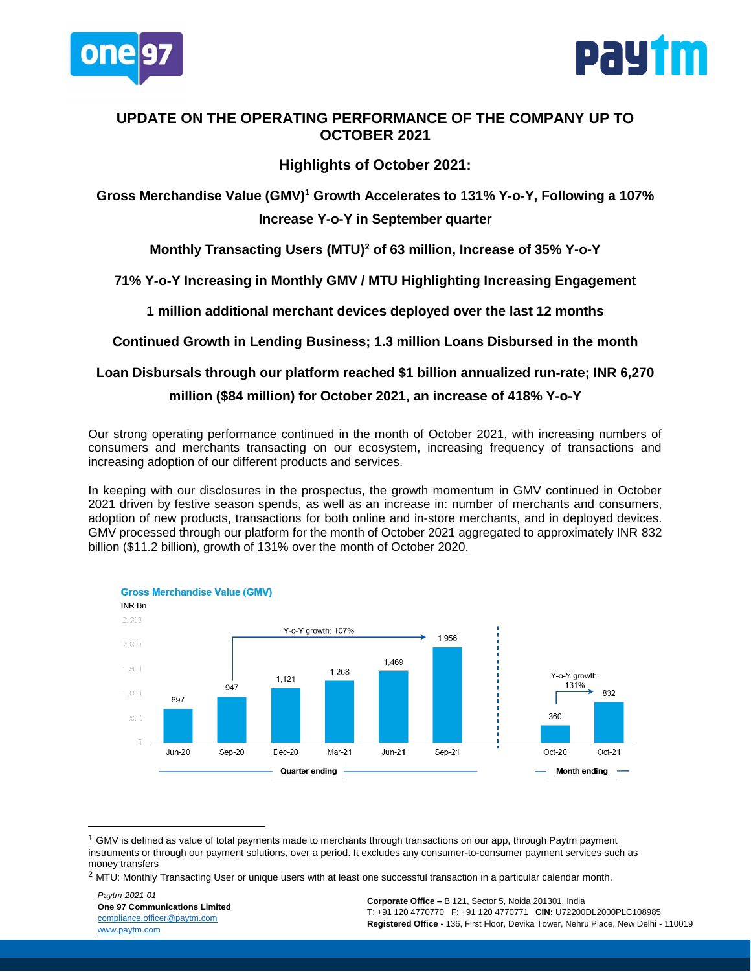



## **UPDATE ON THE OPERATING PERFORMANCE OF THE COMPANY UP TO OCTOBER 2021**

## **Highlights of October 2021:**

Gross Merchandise Value (GMV)<sup>1</sup> Growth Accelerates to 131% Y-o-Y, Following a 107% **Increase Y-o-Y in September quarter**

**Monthly Transacting Users (MTU) <sup>2</sup> of 63 million, Increase of 35% Y-o-Y**

**71% Y-o-Y Increasing in Monthly GMV / MTU Highlighting Increasing Engagement**

**1 million additional merchant devices deployed over the last 12 months**

**Continued Growth in Lending Business; 1.3 million Loans Disbursed in the month**

## **Loan Disbursals through our platform reached \$1 billion annualized run-rate; INR 6,270 million (\$84 million) for October 2021, an increase of 418% Y-o-Y**

Our strong operating performance continued in the month of October 2021, with increasing numbers of consumers and merchants transacting on our ecosystem, increasing frequency of transactions and increasing adoption of our different products and services.

In keeping with our disclosures in the prospectus, the growth momentum in GMV continued in October 2021 driven by festive season spends, as well as an increase in: number of merchants and consumers, adoption of new products, transactions for both online and in-store merchants, and in deployed devices. GMV processed through our platform for the month of October 2021 aggregated to approximately INR 832 billion (\$11.2 billion), growth of 131% over the month of October 2020.



 $1$  GMV is defined as value of total payments made to merchants through transactions on our app, through Paytm payment instruments or through our payment solutions, over a period. It excludes any consumer-to-consumer payment services such as money transfers

 $\overline{\phantom{a}}$ 

 $2$  MTU: Monthly Transacting User or unique users with at least one successful transaction in a particular calendar month.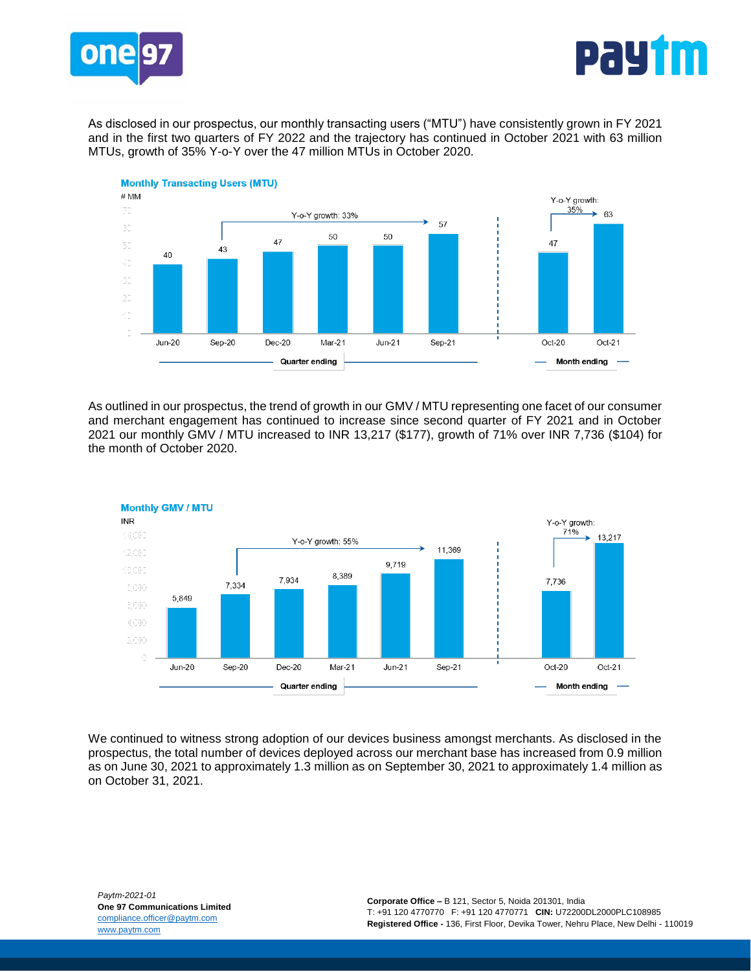



As disclosed in our prospectus, our monthly transacting users ("MTU") have consistently grown in FY 2021 and in the first two quarters of FY 2022 and the trajectory has continued in October 2021 with 63 million MTUs, growth of 35% Y-o-Y over the 47 million MTUs in October 2020.



As outlined in our prospectus, the trend of growth in our GMV / MTU representing one facet of our consumer and merchant engagement has continued to increase since second quarter of FY 2021 and in October 2021 our monthly GMV / MTU increased to INR 13,217 (\$177), growth of 71% over INR 7,736 (\$104) for the month of October 2020.



We continued to witness strong adoption of our devices business amongst merchants. As disclosed in the prospectus, the total number of devices deployed across our merchant base has increased from 0.9 million as on June 30, 2021 to approximately 1.3 million as on September 30, 2021 to approximately 1.4 million as on October 31, 2021.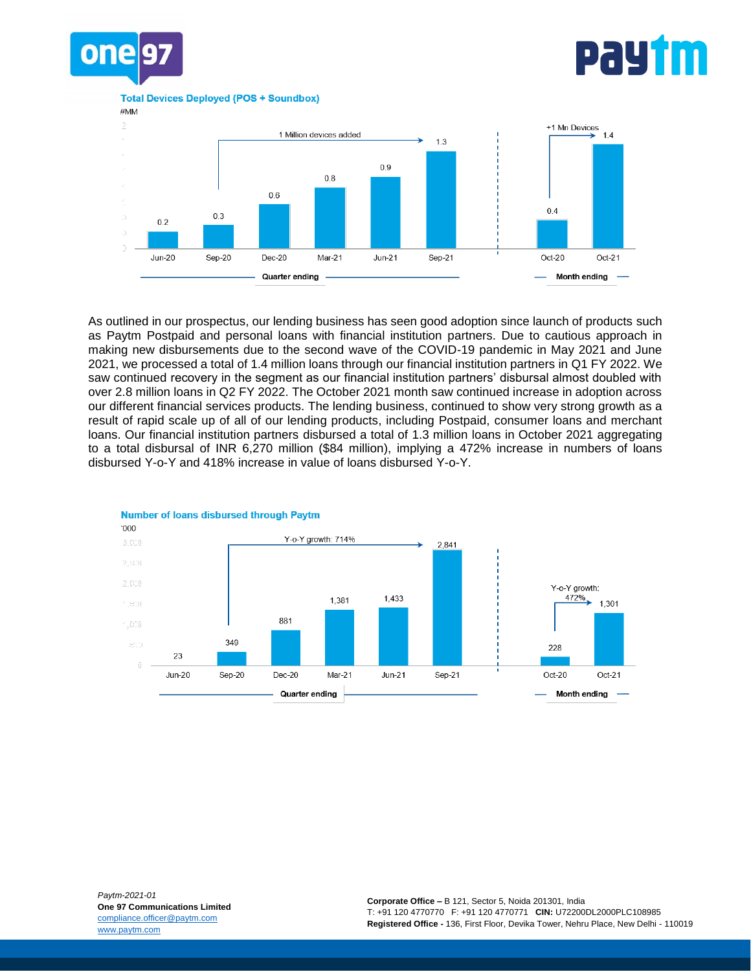

## pay†m

**Total Devices Deploved (POS + Soundbox)** 





As outlined in our prospectus, our lending business has seen good adoption since launch of products such as Paytm Postpaid and personal loans with financial institution partners. Due to cautious approach in making new disbursements due to the second wave of the COVID-19 pandemic in May 2021 and June 2021, we processed a total of 1.4 million loans through our financial institution partners in Q1 FY 2022. We saw continued recovery in the segment as our financial institution partners' disbursal almost doubled with over 2.8 million loans in Q2 FY 2022. The October 2021 month saw continued increase in adoption across our different financial services products. The lending business, continued to show very strong growth as a result of rapid scale up of all of our lending products, including Postpaid, consumer loans and merchant loans. Our financial institution partners disbursed a total of 1.3 million loans in October 2021 aggregating to a total disbursal of INR 6,270 million (\$84 million), implying a 472% increase in numbers of loans disbursed Y-o-Y and 418% increase in value of loans disbursed Y-o-Y.